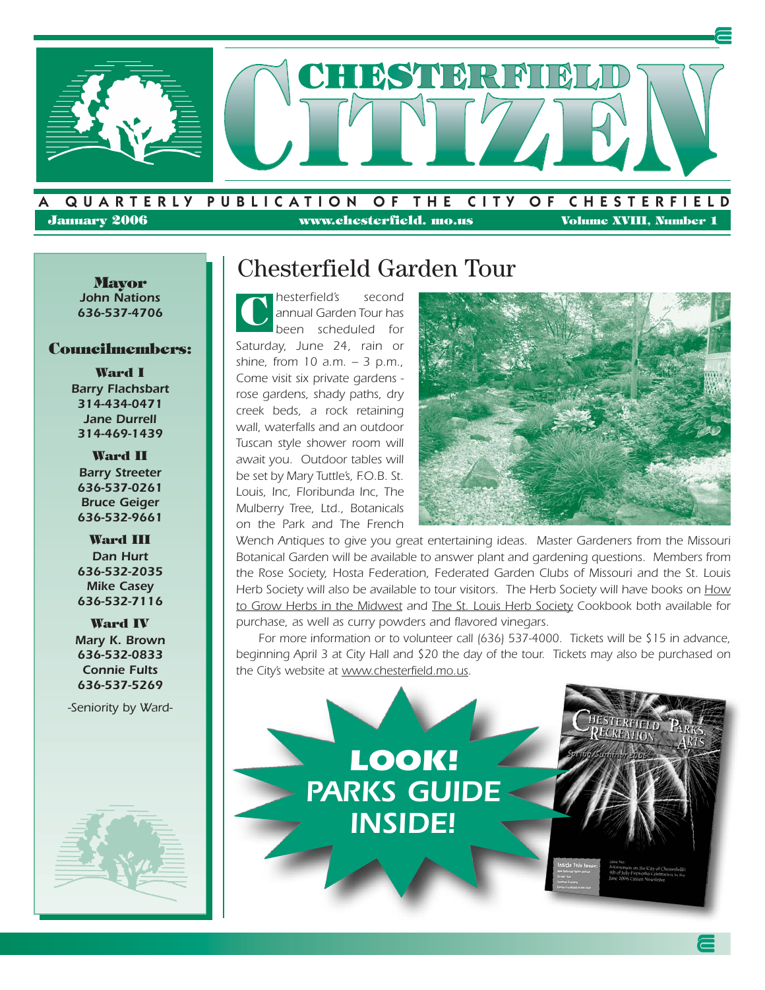

**January 2006 www.chesterfield. mo.us** Volume XVIII, Number 1

**Mayor** *John Nations 636-537-4706*

#### **Councilmembers:**

**Ward I** *Barry Flachsbart 314-434-0471 Jane Durrell 314-469-1439*

**Ward II** *Barry Streeter 636-537-0261 Bruce Geiger 636-532-9661*

**Ward III** *Dan Hurt 636-532-2035 Mike Casey 636-532-7116*

**Ward IV** *Mary K. Brown 636-532-0833 Connie Fults 636-537-5269*

*-Seniority by Ward-*



### Chesterfield Garden Tour

*hesterfield's second annual Garden Tour has been scheduled for Saturday, June 24, rain or shine, from 10 a.m. – 3 p.m., Come visit six private gardens rose gardens, shady paths, dry creek beds, a rock retaining wall, waterfalls and an outdoor Tuscan style shower room will await you. Outdoor tables will be set by Mary Tuttle's, F.O.B. St. Louis, Inc, Floribunda Inc, The Mulberry Tree, Ltd., Botanicals on the Park and The French* **C**



*Wench Antiques to give you great entertaining ideas. Master Gardeners from the Missouri Botanical Garden will be available to answer plant and gardening questions. Members from the Rose Society, Hosta Federation, Federated Garden Clubs of Missouri and the St. Louis Herb Society will also be available to tour visitors. The Herb Society will have books on How to Grow Herbs in the Midwest and The St. Louis Herb Society Cookbook both available for purchase, as well as curry powders and flavored vinegars.*

*For more information or to volunteer call (636) 537-4000. Tickets will be \$15 in advance, beginning April 3 at City Hall and \$20 the day of the tour. Tickets may also be purchased on the City's website at www.chesterfield.mo.us.* 

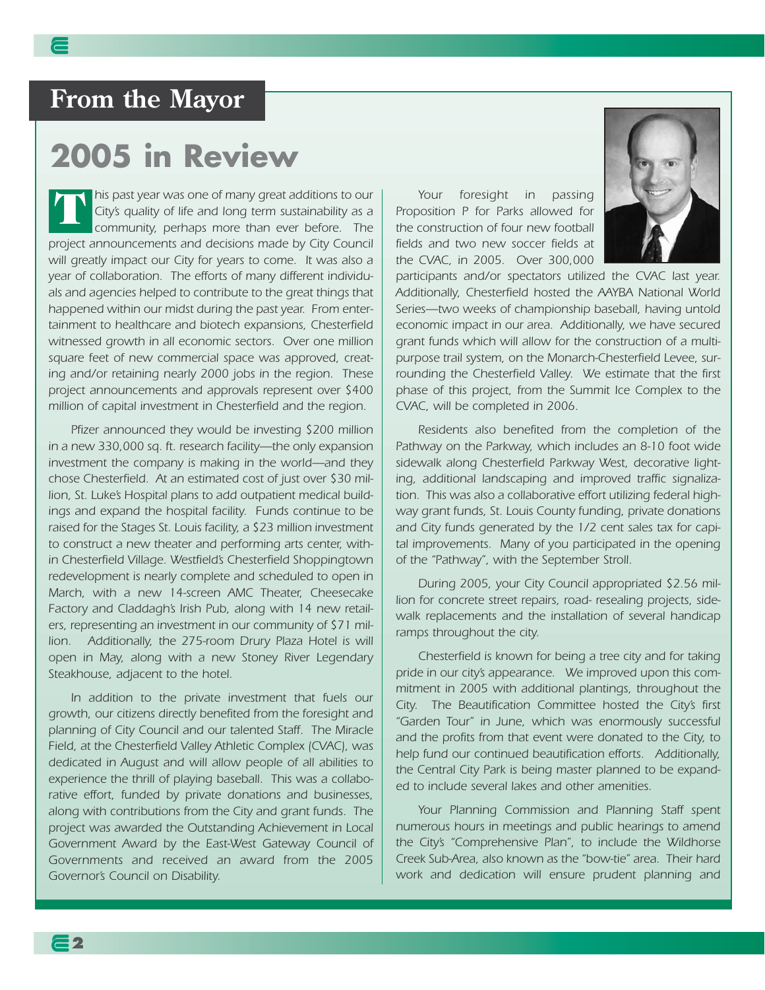# **From the Mayor**

# **2005 in Review**

*his past year was one of many great additions to our City's quality of life and long term sustainability as a community, perhaps more than ever before. The project announcements and decisions made by City Council will greatly impact our City for years to come. It was also a year of collaboration. The efforts of many different individuals and agencies helped to contribute to the great things that happened within our midst during the past year. From entertainment to healthcare and biotech expansions, Chesterfield witnessed growth in all economic sectors. Over one million square feet of new commercial space was approved, creating and/or retaining nearly 2000 jobs in the region. These project announcements and approvals represent over \$400 million of capital investment in Chesterfield and the region.* **T**

*Pfizer announced they would be investing \$200 million in a new 330,000 sq. ft. research facility—the only expansion investment the company is making in the world—and they chose Chesterfield. At an estimated cost of just over \$30 million, St. Luke's Hospital plans to add outpatient medical buildings and expand the hospital facility. Funds continue to be raised for the Stages St. Louis facility, a \$23 million investment to construct a new theater and performing arts center, within Chesterfield Village. Westfield's Chesterfield Shoppingtown redevelopment is nearly complete and scheduled to open in March, with a new 14-screen AMC Theater, Cheesecake Factory and Claddagh's Irish Pub, along with 14 new retailers, representing an investment in our community of \$71 million. Additionally, the 275-room Drury Plaza Hotel is will open in May, along with a new Stoney River Legendary Steakhouse, adjacent to the hotel.* 

*In addition to the private investment that fuels our growth, our citizens directly benefited from the foresight and planning of City Council and our talented Staff. The Miracle Field, at the Chesterfield Valley Athletic Complex (CVAC), was dedicated in August and will allow people of all abilities to experience the thrill of playing baseball. This was a collaborative effort, funded by private donations and businesses, along with contributions from the City and grant funds. The project was awarded the Outstanding Achievement in Local Government Award by the East-West Gateway Council of Governments and received an award from the 2005 Governor's Council on Disability.*

*Your foresight in passing Proposition P for Parks allowed for the construction of four new football fields and two new soccer fields at the CVAC, in 2005. Over 300,000*



*participants and/or spectators utilized the CVAC last year. Additionally, Chesterfield hosted the AAYBA National World Series—two weeks of championship baseball, having untold economic impact in our area. Additionally, we have secured grant funds which will allow for the construction of a multipurpose trail system, on the Monarch-Chesterfield Levee, surrounding the Chesterfield Valley. We estimate that the first phase of this project, from the Summit Ice Complex to the CVAC, will be completed in 2006.*

*Residents also benefited from the completion of the Pathway on the Parkway, which includes an 8-10 foot wide sidewalk along Chesterfield Parkway West, decorative lighting, additional landscaping and improved traffic signalization. This was also a collaborative effort utilizing federal highway grant funds, St. Louis County funding, private donations and City funds generated by the 1/2 cent sales tax for capital improvements. Many of you participated in the opening of the "Pathway", with the September Stroll.*

*During 2005, your City Council appropriated \$2.56 million for concrete street repairs, road- resealing projects, sidewalk replacements and the installation of several handicap ramps throughout the city.* 

*Chesterfield is known for being a tree city and for taking pride in our city's appearance. We improved upon this commitment in 2005 with additional plantings, throughout the City. The Beautification Committee hosted the City's first "Garden Tour" in June, which was enormously successful and the profits from that event were donated to the City, to help fund our continued beautification efforts. Additionally, the Central City Park is being master planned to be expanded to include several lakes and other amenities.*

*Your Planning Commission and Planning Staff spent numerous hours in meetings and public hearings to amend the City's "Comprehensive Plan", to include the Wildhorse Creek Sub-Area, also known as the "bow-tie" area. Their hard work and dedication will ensure prudent planning and*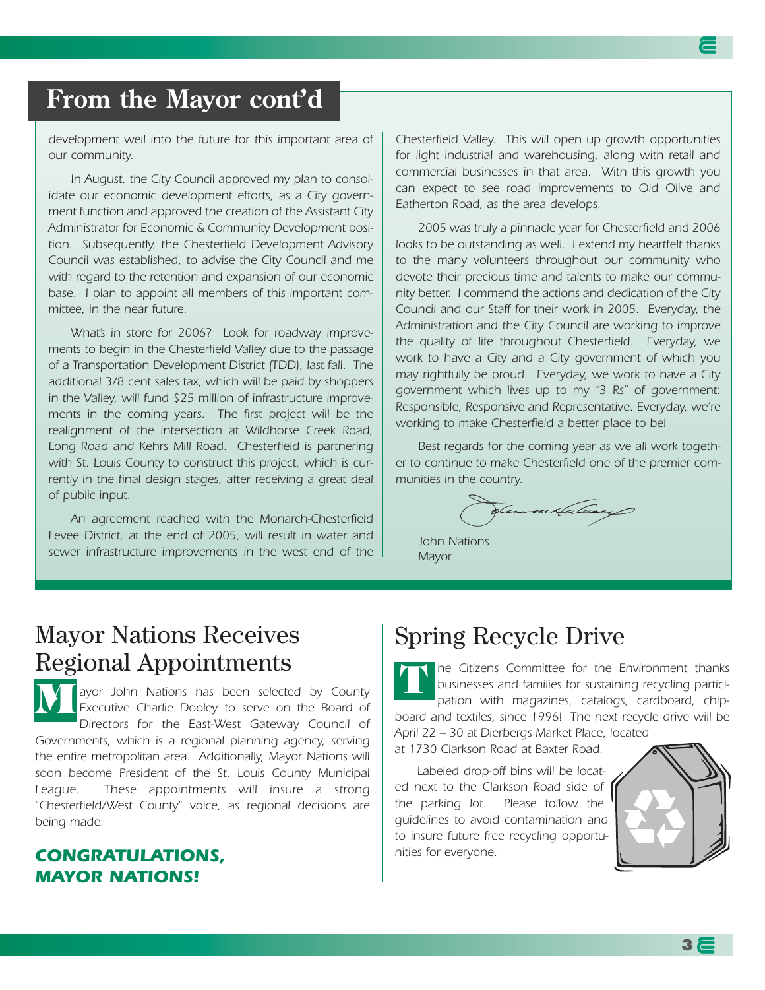## **From the Mayor cont'd**

*development well into the future for this important area of our community.*

*In August, the City Council approved my plan to consolidate our economic development efforts, as a City government function and approved the creation of the Assistant City Administrator for Economic & Community Development position. Subsequently, the Chesterfield Development Advisory Council was established, to advise the City Council and me with regard to the retention and expansion of our economic base. I plan to appoint all members of this important committee, in the near future.*

*What's in store for 2006? Look for roadway improvements to begin in the Chesterfield Valley due to the passage of a Transportation Development District (TDD), last fall. The additional 3/8 cent sales tax, which will be paid by shoppers in the Valley, will fund \$25 million of infrastructure improvements in the coming years. The first project will be the realignment of the intersection at Wildhorse Creek Road, Long Road and Kehrs Mill Road. Chesterfield is partnering with St. Louis County to construct this project, which is currently in the final design stages, after receiving a great deal of public input.*

*An agreement reached with the Monarch-Chesterfield Levee District, at the end of 2005, will result in water and sewer infrastructure improvements in the west end of the*

*Chesterfield Valley. This will open up growth opportunities for light industrial and warehousing, along with retail and commercial businesses in that area. With this growth you can expect to see road improvements to Old Olive and Eatherton Road, as the area develops.*

*2005 was truly a pinnacle year for Chesterfield and 2006 looks to be outstanding as well. I extend my heartfelt thanks to the many volunteers throughout our community who devote their precious time and talents to make our community better. I commend the actions and dedication of the City Council and our Staff for their work in 2005. Everyday, the Administration and the City Council are working to improve the quality of life throughout Chesterfield. Everyday, we work to have a City and a City government of which you may rightfully be proud. Everyday, we work to have a City government which lives up to my "3 Rs" of government: Responsible, Responsive and Representative. Everyday, we're working to make Chesterfield a better place to be!*

*Best regards for the coming year as we all work together to continue to make Chesterfield one of the premier communities in the country.*

Summitateaux

*John Nations Mayor*

#### Mayor Nations Receives Regional Appointments

*ayor John Nations has been selected by County Executive Charlie Dooley to serve on the Board of Directors for the East-West Gateway Council of Governments, which is a regional planning agency, serving the entire metropolitan area. Additionally, Mayor Nations will soon become President of the St. Louis County Municipal League. These appointments will insure a strong "Chesterfield/West County" voice, as regional decisions are being made.*  **M**

#### *CONGRATULATIONS, MAYOR NATIONS!*

### Spring Recycle Drive

*he Citizens Committee for the Environment thanks businesses and families for sustaining recycling participation with magazines, catalogs, cardboard, chipboard and textiles, since 1996! The next recycle drive will be April 22 – 30 at Dierbergs Market Place, located* **T**

*at 1730 Clarkson Road at Baxter Road.* 

*Labeled drop-off bins will be located next to the Clarkson Road side of the parking lot. Please follow the guidelines to avoid contamination and to insure future free recycling opportunities for everyone.* 

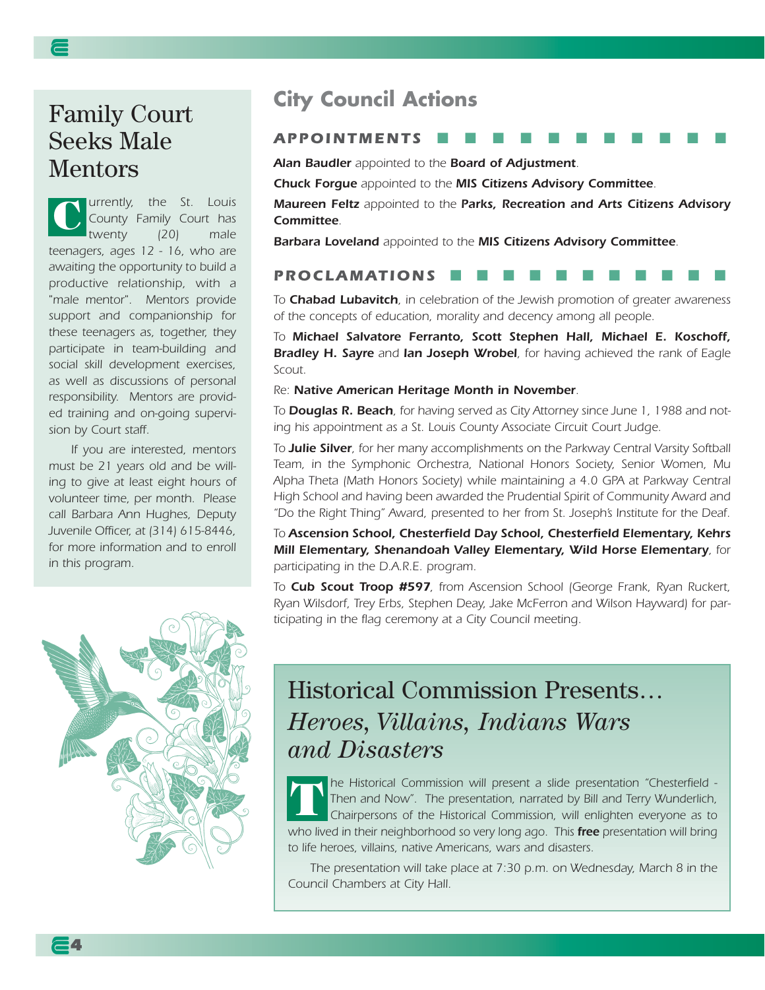## Family Court Seeks Male Mentors

*urrently, the St. Louis County Family Court has twenty (20) male teenagers, ages 12 - 16, who are awaiting the opportunity to build a productive relationship, with a "male mentor". Mentors provide support and companionship for these teenagers as, together, they participate in team-building and social skill development exercises, as well as discussions of personal responsibility. Mentors are provided training and on-going supervision by Court staff.*  **C**

*If you are interested, mentors must be 21 years old and be willing to give at least eight hours of volunteer time, per month. Please call Barbara Ann Hughes, Deputy Juvenile Officer, at (314) 615-8446, for more information and to enroll in this program.* 



**4**

#### **City Council Actions**

#### *APPOINTMENTS* ■■■■■■■■■■■

*Alan Baudler appointed to the Board of Adjustment.*

*Chuck Forgue appointed to the MIS Citizens Advisory Committee.*

*Maureen Feltz appointed to the Parks, Recreation and Arts Citizens Advisory Committee.*

*Barbara Loveland appointed to the MIS Citizens Advisory Committee.*

#### **PROCLAMATIONS**

*To Chabad Lubavitch, in celebration of the Jewish promotion of greater awareness of the concepts of education, morality and decency among all people.*

*To Michael Salvatore Ferranto, Scott Stephen Hall, Michael E. Koschoff, Bradley H. Sayre and Ian Joseph Wrobel, for having achieved the rank of Eagle Scout.*

*Re: Native American Heritage Month in November.*

*To Douglas R. Beach, for having served as City Attorney since June 1, 1988 and noting his appointment as a St. Louis County Associate Circuit Court Judge.*

*To Julie Silver, for her many accomplishments on the Parkway Central Varsity Softball Team, in the Symphonic Orchestra, National Honors Society, Senior Women, Mu Alpha Theta (Math Honors Society) while maintaining a 4.0 GPA at Parkway Central High School and having been awarded the Prudential Spirit of Community Award and "Do the Right Thing" Award, presented to her from St. Joseph's Institute for the Deaf.*

*To Ascension School, Chesterfield Day School, Chesterfield Elementary, Kehrs Mill Elementary, Shenandoah Valley Elementary, Wild Horse Elementary, for participating in the D.A.R.E. program.*

*To Cub Scout Troop #597, from Ascension School (George Frank, Ryan Ruckert, Ryan Wilsdorf, Trey Erbs, Stephen Deay, Jake McFerron and Wilson Hayward) for participating in the flag ceremony at a City Council meeting.*

# Historical Commission Presents… *Heroes, Villains, Indians Wars and Disasters*

*he Historical Commission will present a slide presentation "Chesterfield - Then and Now". The presentation, narrated by Bill and Terry Wunderlich, Chairpersons of the Historical Commission, will enlighten everyone as to who lived in their neighborhood so very long ago. This free presentation will bring to life heroes, villains, native Americans, wars and disasters.*  **T**

*The presentation will take place at 7:30 p.m. on Wednesday, March 8 in the Council Chambers at City Hall.*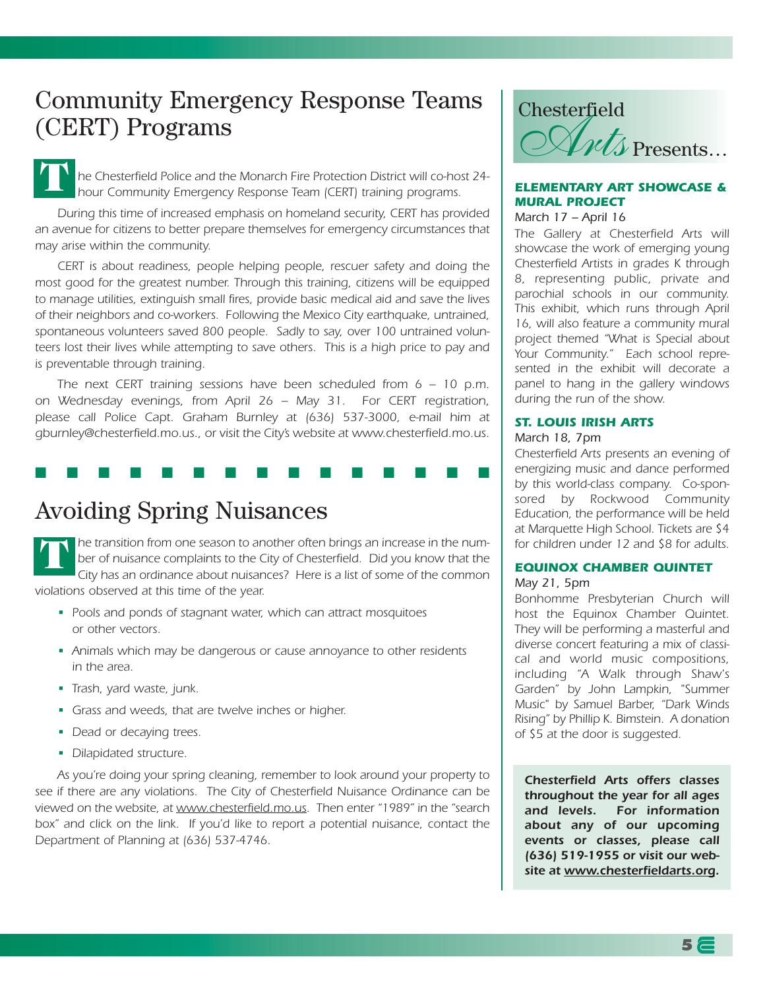## Community Emergency Response Teams (CERT) Programs

*he Chesterfield Police and the Monarch Fire Protection District will co-host 24 hour Community Emergency Response Team (CERT) training programs.*  **T**

*During this time of increased emphasis on homeland security, CERT has provided an avenue for citizens to better prepare themselves for emergency circumstances that may arise within the community.*

*CERT is about readiness, people helping people, rescuer safety and doing the most good for the greatest number. Through this training, citizens will be equipped to manage utilities, extinguish small fires, provide basic medical aid and save the lives of their neighbors and co-workers. Following the Mexico City earthquake, untrained, spontaneous volunteers saved 800 people. Sadly to say, over 100 untrained volunteers lost their lives while attempting to save others. This is a high price to pay and is preventable through training.*

*The next CERT training sessions have been scheduled from 6 – 10 p.m. on Wednesday evenings, from April 26 – May 31. For CERT registration, please call Police Capt. Graham Burnley at (636) 537-3000, e-mail him at gburnley@chesterfield.mo.us., or visit the City's website at www.chesterfield.mo.us.*

#### ■ ■ ■ ■ ■ ■ ■ ■ ■ ■ ■ ■ ■ ■ ■

## Avoiding Spring Nuisances

*he transition from one season to another often brings an increase in the number of nuisance complaints to the City of Chesterfield. Did you know that the City has an ordinance about nuisances? Here is a list of some of the common violations observed at this time of the year.* **T**

- *Pools and ponds of stagnant water, which can attract mosquitoes or other vectors.*
- *Animals which may be dangerous or cause annoyance to other residents in the area.*
- *Trash, yard waste, junk.*
- *Grass and weeds, that are twelve inches or higher.*
- *Dead or decaying trees.*
- *Dilapidated structure.*

*As you're doing your spring cleaning, remember to look around your property to see if there are any violations. The City of Chesterfield Nuisance Ordinance can be viewed on the website, at www.chesterfield.mo.us. Then enter "1989" in the "search box" and click on the link. If you'd like to report a potential nuisance, contact the Department of Planning at (636) 537-4746.*



#### *ELEMENTARY ART SHOWCASE & MURAL PROJECT March 17 – April 16*

*The Gallery at Chesterfield Arts will showcase the work of emerging young Chesterfield Artists in grades K through 8, representing public, private and parochial schools in our community. This exhibit, which runs through April 16, will also feature a community mural project themed "What is Special about Your Community." Each school represented in the exhibit will decorate a panel to hang in the gallery windows during the run of the show.*

#### *ST. LOUIS IRISH ARTS March 18, 7pm*

*Chesterfield Arts presents an evening of energizing music and dance performed by this world-class company. Co-sponsored by Rockwood Community Education, the performance will be held at Marquette High School. Tickets are \$4 for children under 12 and \$8 for adults.* 

#### *EQUINOX CHAMBER QUINTET*

#### *May 21, 5pm*

*Bonhomme Presbyterian Church will host the Equinox Chamber Quintet. They will be performing a masterful and diverse concert featuring a mix of classical and world music compositions, including "A Walk through Shaw's Garden" by John Lampkin, "Summer Music" by Samuel Barber, "Dark Winds Rising" by Phillip K. Bimstein. A donation of \$5 at the door is suggested.*

*Chesterfield Arts offers classes throughout the year for all ages and levels. For information about any of our upcoming events or classes, please call (636) 519-1955 or visit our website at www.chesterfieldarts.org.*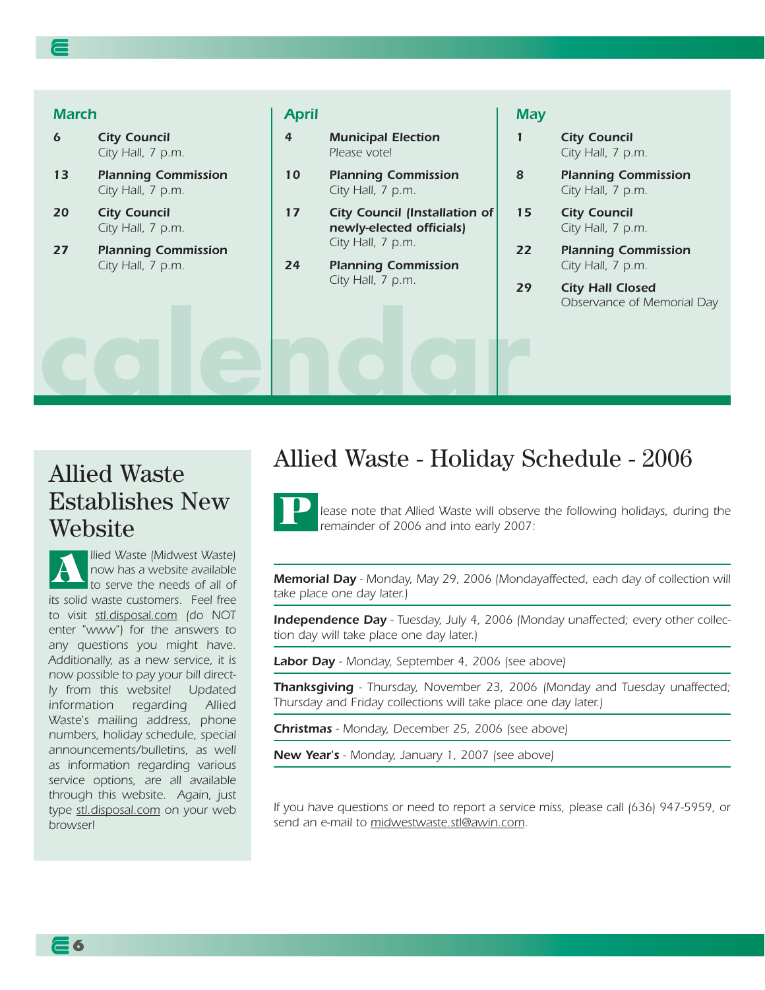#### *March*

*6 City Council City Hall, 7 p.m.*

- *13 Planning Commission City Hall, 7 p.m.*
- *20 City Council City Hall, 7 p.m.*
- *27 Planning Commission City Hall, 7 p.m.*

#### *April*

**calendar**

- *4 Municipal Election Please vote!*
- *10 Planning Commission City Hall, 7 p.m.*
- *17 City Council (Installation of newly-elected officials) City Hall, 7 p.m.*
- *24 Planning Commission City Hall, 7 p.m.*

#### *May*

*1 City Council City Hall, 7 p.m.*

- *8 Planning Commission City Hall, 7 p.m.*
- *15 City Council City Hall, 7 p.m.*
- *22 Planning Commission City Hall, 7 p.m.*
- *29 City Hall Closed Observance of Memorial Day*

## Allied Waste Establishes New Website

*llied Waste (Midwest Waste) now has a website available to serve the needs of all of its solid waste customers. Feel free to visit stl.disposal.com (do NOT enter "www") for the answers to any questions you might have. Additionally, as a new service, it is now possible to pay your bill directly from this website! Updated information regarding Allied Waste's mailing address, phone numbers, holiday schedule, special announcements/bulletins, as well as information regarding various service options, are all available through this website. Again, just type stl.disposal.com on your web browser!* **A**

#### Allied Waste - Holiday Schedule - 2006

*lease note that Allied Waste will observe the following holidays, during the remainder of 2006 and into early 2007:* **P**

*Memorial Day - Monday, May 29, 2006 (Mondayaffected, each day of collection will take place one day later.)*

*Independence Day - Tuesday, July 4, 2006 (Monday unaffected; every other collection day will take place one day later.)*

*Labor Day - Monday, September 4, 2006 (see above)*

*Thanksgiving - Thursday, November 23, 2006 (Monday and Tuesday unaffected; Thursday and Friday collections will take place one day later.)*

*Christmas - Monday, December 25, 2006 (see above)*

*New Year's - Monday, January 1, 2007 (see above)*

*If you have questions or need to report a service miss, please call (636) 947-5959, or send an e-mail to midwestwaste.stl@awin.com.*

**6**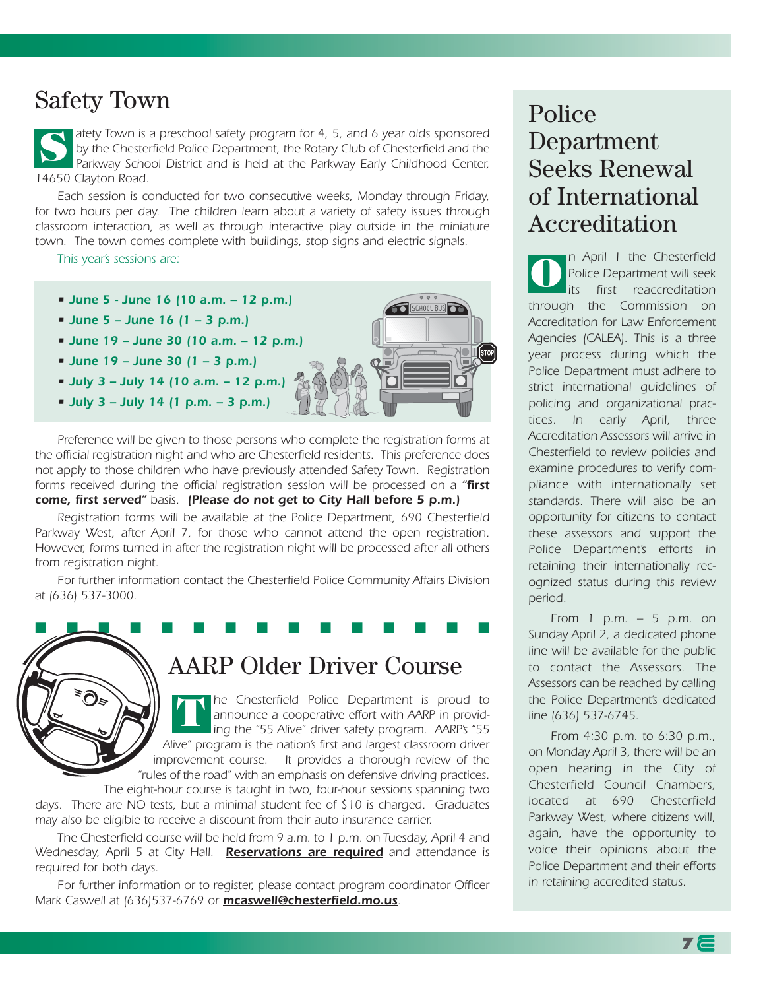## Safety Town

*afety Town is a preschool safety program for 4, 5, and 6 year olds sponsored by the Chesterfield Police Department, the Rotary Club of Chesterfield and the Parkway School District and is held at the Parkway Early Childhood Center, 14650 Clayton Road.*  **S**

*Each session is conducted for two consecutive weeks, Monday through Friday, for two hours per day. The children learn about a variety of safety issues through classroom interaction, as well as through interactive play outside in the miniature town. The town comes complete with buildings, stop signs and electric signals.*

*This year's sessions are:*



*Preference will be given to those persons who complete the registration forms at the official registration night and who are Chesterfield residents. This preference does not apply to those children who have previously attended Safety Town. Registration forms received during the official registration session will be processed on a "first come, first served" basis. (Please do not get to City Hall before 5 p.m.)*

*Registration forms will be available at the Police Department, 690 Chesterfield Parkway West, after April 7, for those who cannot attend the open registration. However, forms turned in after the registration night will be processed after all others from registration night.*

*For further information contact the Chesterfield Police Community Affairs Division at (636) 537-3000.*

■ <u>LU ■ ■ ■ ■ ■ ■ ■ ■ ■ ■ ■ ■ ■ ■ ■</u>

### AARP Older Driver Course

*he Chesterfield Police Department is proud to announce a cooperative effort with AARP in providing the "55 Alive" driver safety program. AARP's "55 Alive" program is the nation's first and largest classroom driver improvement course. It provides a thorough review of the "rules of the road" with an emphasis on defensive driving practices.* **T**

*The eight-hour course is taught in two, four-hour sessions spanning two days. There are NO tests, but a minimal student fee of \$10 is charged. Graduates may also be eligible to receive a discount from their auto insurance carrier.* 

*The Chesterfield course will be held from 9 a.m. to 1 p.m. on Tuesday, April 4 and Wednesday, April 5 at City Hall. Reservations are required and attendance is required for both days.* 

*For further information or to register, please contact program coordinator Officer Mark Caswell at (636)537-6769 or mcaswell@chesterfield.mo.us.*

## Police Department Seeks Renewal of International Accreditation

*n April 1 the Chesterfield Police Department will seek* first reaccreditation *through the Commission on Accreditation for Law Enforcement Agencies (CALEA). This is a three year process during which the Police Department must adhere to strict international guidelines of policing and organizational practices. In early April, three Accreditation Assessors will arrive in Chesterfield to review policies and examine procedures to verify compliance with internationally set standards. There will also be an opportunity for citizens to contact these assessors and support the Police Department's efforts in retaining their internationally recognized status during this review period.*  **O**

*From 1 p.m. – 5 p.m. on Sunday April 2, a dedicated phone line will be available for the public to contact the Assessors. The Assessors can be reached by calling the Police Department's dedicated line (636) 537-6745.* 

*From 4:30 p.m. to 6:30 p.m., on Monday April 3, there will be an open hearing in the City of Chesterfield Council Chambers, located at 690 Chesterfield Parkway West, where citizens will, again, have the opportunity to voice their opinions about the Police Department and their efforts in retaining accredited status.*